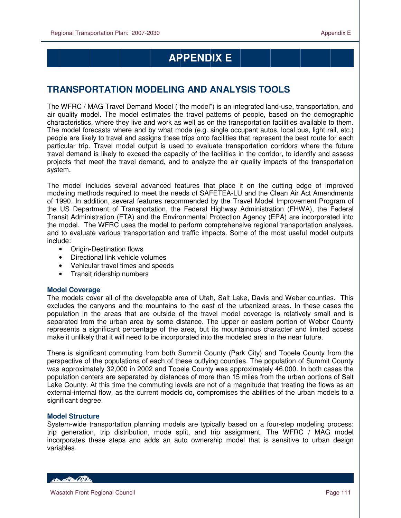# **APPENDIX E**

# **TRANSPORTATION MODELING AND ANALYSIS TOOLS**

The WFRC / MAG Travel Demand Model ("the model") is an integrated land-use, transportation, and air quality model. The model estimates the travel patterns of people, based on the demographic characteristics, where they live and work as well as on the transportation facilities available to them. The model forecasts where and by what mode (e.g. single occupant autos, local bus, light rail, etc.) people are likely to travel and assigns these trips onto facilities that represent the best route for each particular trip. Travel model output is used to evaluate transportation corridors where the future travel demand is likely to exceed the capacity of the facilities in the corridor, to identify and assess projects that meet the travel demand, and to analyze the air quality impacts of the transportation system.

The model includes several advanced features that place it on the cutting edge of improved modeling methods required to meet the needs of SAFETEA-LU and the Clean Air Act Amendments of 1990. In addition, several features recommended by the Travel Model Improvement Program of the US Department of Transportation, the Federal Highway Administration (FHWA), the Federal Transit Administration (FTA) and the Environmental Protection Agency (EPA) are incorporated into the model. The WFRC uses the model to perform comprehensive regional transportation analyses, and to evaluate various transportation and traffic impacts. Some of the most useful model outputs include:

- Origin-Destination flows
- Directional link vehicle volumes
- Vehicular travel times and speeds
- Transit ridership numbers

### **Model Coverage**

The models cover all of the developable area of Utah, Salt Lake, Davis and Weber counties. This excludes the canyons and the mountains to the east of the urbanized areas**.** In these cases the population in the areas that are outside of the travel model coverage is relatively small and is separated from the urban area by some distance. The upper or eastern portion of Weber County represents a significant percentage of the area, but its mountainous character and limited access make it unlikely that it will need to be incorporated into the modeled area in the near future.

There is significant commuting from both Summit County (Park City) and Tooele County from the perspective of the populations of each of these outlying counties. The population of Summit County was approximately 32,000 in 2002 and Tooele County was approximately 46,000. In both cases the population centers are separated by distances of more than 15 miles from the urban portions of Salt Lake County. At this time the commuting levels are not of a magnitude that treating the flows as an external-internal flow, as the current models do, compromises the abilities of the urban models to a significant degree.

### **Model Structure**

System-wide transportation planning models are typically based on a four-step modeling process: trip generation, trip distribution, mode split, and trip assignment. The WFRC / MAG model incorporates these steps and adds an auto ownership model that is sensitive to urban design variables.

**ARCHAMEDIA CONTROL**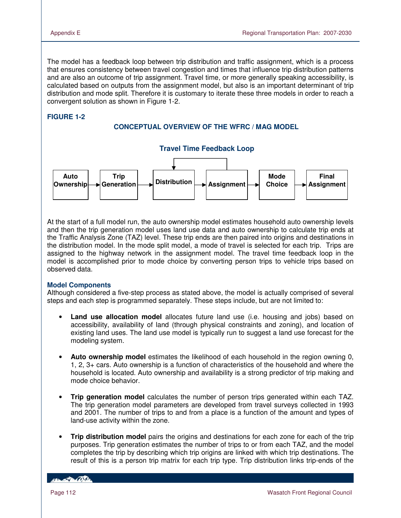The model has a feedback loop between trip distribution and traffic assignment, which is a process that ensures consistency between travel congestion and times that influence trip distribution patterns and are also an outcome of trip assignment. Travel time, or more generally speaking accessibility, is calculated based on outputs from the assignment model, but also is an important determinant of trip distribution and mode split. Therefore it is customary to iterate these three models in order to reach a convergent solution as shown in Figure 1-2.

# **FIGURE 1-2**

### **CONCEPTUAL OVERVIEW OF THE WFRC / MAG MODEL**



At the start of a full model run, the auto ownership model estimates household auto ownership levels and then the trip generation model uses land use data and auto ownership to calculate trip ends at the Traffic Analysis Zone (TAZ) level. These trip ends are then paired into origins and destinations in the distribution model. In the mode split model, a mode of travel is selected for each trip. Trips are assigned to the highway network in the assignment model. The travel time feedback loop in the model is accomplished prior to mode choice by converting person trips to vehicle trips based on observed data.

### **Model Components**

Although considered a five-step process as stated above, the model is actually comprised of several steps and each step is programmed separately. These steps include, but are not limited to:

- **Land use allocation model** allocates future land use (i.e. housing and jobs) based on accessibility, availability of land (through physical constraints and zoning), and location of existing land uses. The land use model is typically run to suggest a land use forecast for the modeling system.
- **Auto ownership model** estimates the likelihood of each household in the region owning 0, 1, 2, 3+ cars. Auto ownership is a function of characteristics of the household and where the household is located. Auto ownership and availability is a strong predictor of trip making and mode choice behavior.
- **Trip generation model** calculates the number of person trips generated within each TAZ. The trip generation model parameters are developed from travel surveys collected in 1993 and 2001. The number of trips to and from a place is a function of the amount and types of land-use activity within the zone.
- **Trip distribution model** pairs the origins and destinations for each zone for each of the trip purposes. Trip generation estimates the number of trips to or from each TAZ, and the model completes the trip by describing which trip origins are linked with which trip destinations. The result of this is a person trip matrix for each trip type. Trip distribution links trip-ends of the

*COMMERCIAL*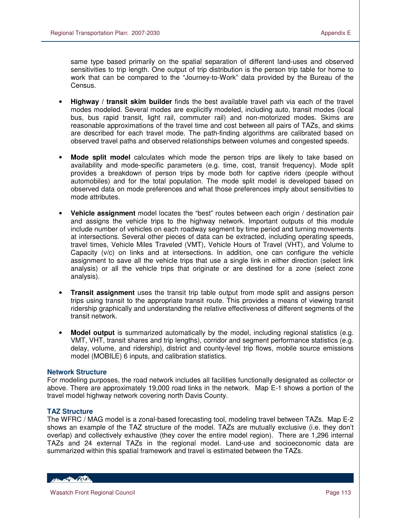same type based primarily on the spatial separation of different land-uses and observed sensitivities to trip length. One output of trip distribution is the person trip table for home to work that can be compared to the "Journey-to-Work" data provided by the Bureau of the Census.

- **Highway / transit skim builder** finds the best available travel path via each of the travel modes modeled. Several modes are explicitly modeled, including auto, transit modes (local bus, bus rapid transit, light rail, commuter rail) and non-motorized modes. Skims are reasonable approximations of the travel time and cost between all pairs of TAZs, and skims are described for each travel mode. The path-finding algorithms are calibrated based on observed travel paths and observed relationships between volumes and congested speeds.
- **Mode split model** calculates which mode the person trips are likely to take based on availability and mode-specific parameters (e.g. time, cost, transit frequency). Mode split provides a breakdown of person trips by mode both for captive riders (people without automobiles) and for the total population. The mode split model is developed based on observed data on mode preferences and what those preferences imply about sensitivities to mode attributes.
- **Vehicle assignment** model locates the "best" routes between each origin / destination pair and assigns the vehicle trips to the highway network. Important outputs of this module include number of vehicles on each roadway segment by time period and turning movements at intersections. Several other pieces of data can be extracted, including operating speeds, travel times, Vehicle Miles Traveled (VMT), Vehicle Hours of Travel (VHT), and Volume to Capacity (v/c) on links and at intersections. In addition, one can configure the vehicle assignment to save all the vehicle trips that use a single link in either direction (select link analysis) or all the vehicle trips that originate or are destined for a zone (select zone analysis).
- **Transit assignment** uses the transit trip table output from mode split and assigns person trips using transit to the appropriate transit route. This provides a means of viewing transit ridership graphically and understanding the relative effectiveness of different segments of the transit network.
- **Model output** is summarized automatically by the model, including regional statistics (e.g. VMT, VHT, transit shares and trip lengths), corridor and segment performance statistics (e.g. delay, volume, and ridership), district and county-level trip flows, mobile source emissions model (MOBILE) 6 inputs, and calibration statistics.

### **Network Structure**

For modeling purposes, the road network includes all facilities functionally designated as collector or above. There are approximately 19,000 road links in the network. Map E-1 shows a portion of the travel model highway network covering north Davis County.

### **TAZ Structure**

The WFRC / MAG model is a zonal-based forecasting tool, modeling travel between TAZs. Map E-2 shows an example of the TAZ structure of the model. TAZs are mutually exclusive (i.e. they don't overlap) and collectively exhaustive (they cover the entire model region). There are 1,296 internal TAZs and 24 external TAZs in the regional model. Land-use and socioeconomic data are summarized within this spatial framework and travel is estimated between the TAZs.

HELL CONTRACTOR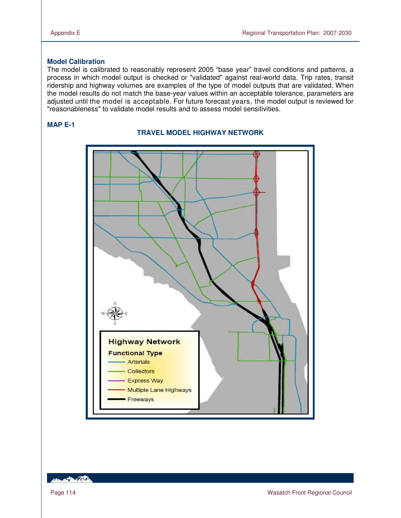# **Model Calibration**

The model is calibrated to reasonably represent 2005 "base year" travel conditions and patterns, a process in which model output is checked or "validated" against real-world data. Trip rates, transit ridership and highway volumes are examples of the type of model outputs that are validated. When the model results do not match the base-year values within an acceptable tolerance, parameters are adjusted until the model is acceptable. For future forecast years, the model output is reviewed for "reasonableness" to validate model results and to assess model sensitivities.

### **MAP E-1**





HELLED CO.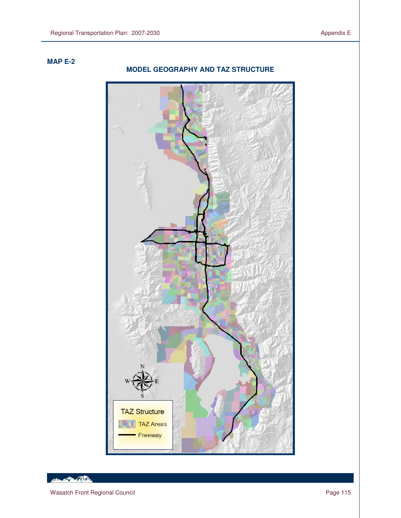# **MAP E-2**

 $\overline{a}$ 

# **TAZ Structure TAZ Areas** Freeway

# **MODEL GEOGRAPHY AND TAZ STRUCTURE**

Henry Contact Day